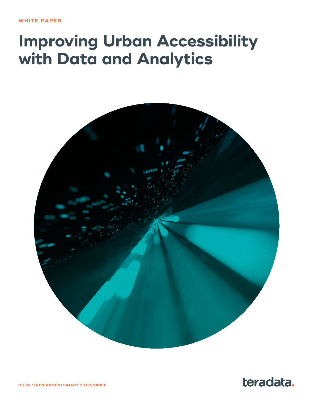# <span id="page-0-0"></span>**Improving Urban Accessibility with Data and Analytics**





**03.22 / GOVERNMENT/SMART CITIES/BRIEF**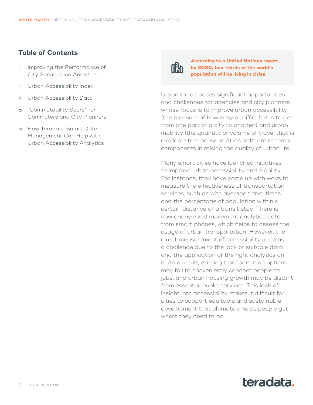### **Table of Contents**

- 4 [Improving the Performance of](#page-3-0)  [City Services via Analytics](#page-3-0)
- 4 [Urban Accessibility Index](#page-3-0)
- [4](#page-3-0) Urban Accessibility Data
- [5](#page-4-0) "Commutability Score" for Commuters and City Planners
- 5 [How Teradata Smart Data](#page-4-0) [Management Can Help with](#page-4-0) [Urban Accessibility Analytics](#page-4-0)



**According to a United Nations report, by 2030, two-thirds of the world's population will be living in cities.**

Urbanization poses significant opportunities and challenges for agencies and city planners whose focus is to improve urban accessibility (the measure of how easy or difficult it is to get from one part of a city to another) and urban mobility (the quantity or volume of travel that is available to a household), as both are essential components in raising the quality of urban life.

Many smart cities have launched initiatives to improve urban accessibility and mobility. For instance, they have come up with ways to measure the effectiveness of transportation services, such as with average travel times and the percentage of population within a certain distance of a transit stop. There is now anonymized movement analytics data from smart phones, which helps to assess the usage of urban transportation. However, the direct measurement of accessibility remains a challenge due to the lack of suitable data and the application of the right analytics on it. As a result, existing transportation options may fail to conveniently connect people to jobs, and urban housing growth may be distant from essential public services. This lack of insight into accessibility makes it difficult for cities to support equitable and sustainable development that ultimately helps people get where they need to go.

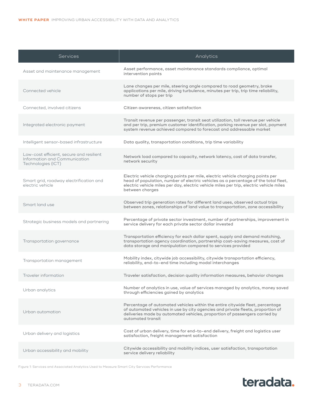| <b>Services</b>                                                                                 | Analytics                                                                                                                                                                                                                                                                            |
|-------------------------------------------------------------------------------------------------|--------------------------------------------------------------------------------------------------------------------------------------------------------------------------------------------------------------------------------------------------------------------------------------|
| Asset and maintenance management                                                                | Asset performance, asset maintenance standards compliance, optimal<br>intervention points                                                                                                                                                                                            |
| Connected vehicle                                                                               | Lane changes per mile, steering angle compared to road geometry, brake<br>applications per mile, driving turbulence, minutes per trip, trip time reliability,<br>number of stops per trip                                                                                            |
| Connected, involved citizens                                                                    | Citizen awareness, citizen satisfaction                                                                                                                                                                                                                                              |
| Integrated electronic payment                                                                   | Transit revenue per passenger, transit seat utilization, toll revenue per vehicle<br>and per trip, premium customer identification, parking revenue per slot, payment<br>system revenue achieved compared to forecast and addressable market                                         |
| Intelligent sensor-based infrastructure                                                         | Data quality, transportation conditions, trip time variability                                                                                                                                                                                                                       |
| Low-cost efficient, secure and resilient<br>Information and Communication<br>Technologies (ICT) | Network load compared to capacity, network latency, cost of data transfer,<br>network security                                                                                                                                                                                       |
| Smart grid, roadway electrification and<br>electric vehicle                                     | Electric vehicle charging points per mile, electric vehicle charging points per<br>head of population, number of electric vehicles as a percentage of the total fleet,<br>electric vehicle miles per day, electric vehicle miles per trip, electric vehicle miles<br>between charges |
| Smart land use                                                                                  | Observed trip generation rates for different land uses, observed actual trips<br>between zones, relationships of land value to transportation, zone accessibility                                                                                                                    |
| Strategic business models and partnering                                                        | Percentage of private sector investment, number of partnerships, improvement in<br>service delivery for each private sector dollar invested                                                                                                                                          |
| Transportation governance                                                                       | Transportation efficiency for each dollar spent, supply and demand matching,<br>transportation agency coordination, partnership cost-saving measures, cost of<br>data storage and manipulation compared to services provided                                                         |
| Transportation management                                                                       | Mobility index, citywide job accessibility, citywide transportation efficiency,<br>reliability, end-to-end time including modal interchanges                                                                                                                                         |
| Traveler information                                                                            | Traveler satisfaction, decision quality information measures, behavior changes                                                                                                                                                                                                       |
| Urban analytics                                                                                 | Number of analytics in use, value of services managed by analytics, money saved<br>through efficiencies gained by analytics                                                                                                                                                          |
| Urban automation                                                                                | Percentage of automated vehicles within the entire citywide fleet, percentage<br>of automated vehicles in use by city agencies and private fleets, proportion of<br>deliveries made by automated vehicles, proportion of passengers carried by<br>automated transit                  |
| Urban delivery and logistics                                                                    | Cost of urban delivery, time for end-to-end delivery, freight and logistics user<br>satisfaction, freight management satisfaction                                                                                                                                                    |
| Urban accessibility and mobility                                                                | Citywide accessibility and mobility indices, user satisfaction, transportation<br>service delivery reliability                                                                                                                                                                       |

Figure 1: Services and Associated Analytics Used to Measure Smart City Services Performance

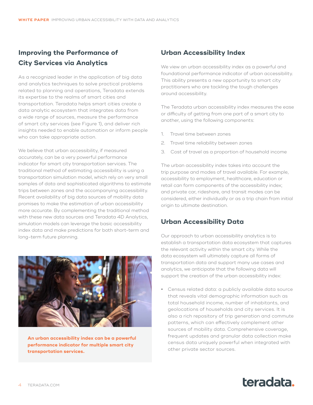# <span id="page-3-0"></span>**Improving the Performance of City Services via Analytics**

As a recognized leader in the application of big data and analytics techniques to solve practical problems related to planning and operations, Teradata extends its expertise to the realms of smart cities and transportation. Teradata helps smart cities create a data analytic ecosystem that integrates data from a wide range of sources, measure the performance of smart city services (see Figure 1), and deliver rich insights needed to enable automation or inform people who can take appropriate action.

We believe that urban accessibility, if measured accurately, can be a very powerful performance indicator for smart city transportation services. The traditional method of estimating accessibility is using a transportation simulation model, which rely on very small samples of data and sophisticated algorithms to estimate trips between zones and the accompanying accessibility. Recent availability of big data sources of mobility data promises to make the estimation of urban accessibility more accurate. By complementing the traditional method with these new data sources and Teradata 4D Analytics, simulation models can leverage the basic accessibility index data and make predictions for both short-term and long-term future planning.



**An urban accessibility index can be a powerful performance indicator for multiple smart city transportation services.**

## **Urban Accessibility Index**

We view an urban accessibility index as a powerful and foundational performance indicator of urban accessibility. This ability presents a new opportunity to smart city practitioners who are tackling the tough challenges around accessibility.

The Teradata urban accessibility index measures the ease or difficulty of getting from one part of a smart city to another, using the following components:

- 1. Travel time between zones
- 2. Travel time reliability between zones
- 3. Cost of travel as a proportion of household income

The urban accessibility index takes into account the trip purpose and modes of travel available. For example, accessibility to employment, healthcare, education or retail can form components of the accessibility index; and private car, rideshare, and transit modes can be considered, either individually or as a trip chain from initial origin to ultimate destination.

## **Urban Accessibility Data**

Our approach to urban accessibility analytics is to establish a transportation data ecosystem that captures the relevant activity within the smart city. While the data ecosystem will ultimately capture all forms of transportation data and support many use cases and analytics, we anticipate that the following data will support the creation of the urban accessibility index:

**•** Census related data: a publicly available data source that reveals vital demographic information such as total household income, number of inhabitants, and geolocations of households and city services. It is also a rich repository of trip generation and commute patterns, which can effectively complement other sources of mobility data. Comprehensive coverage, frequent updates and granular data collection make census data uniquely powerful when integrated with other private sector sources.

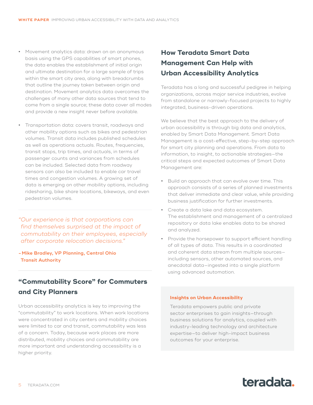- <span id="page-4-0"></span>**•** Movement analytics data: drawn on an anonymous basis using the GPS capabilities of smart phones, the data enables the establishment of initial origin and ultimate destination for a large sample of trips within the smart city area, along with breadcrumbs that outline the journey taken between origin and destination. Movement analytics data overcomes the challenges of many other data sources that tend to come from a single source; these data cover all modes and provide a new insight never before available.
- **•** Transportation data: covers transit, roadways and other mobility options such as bikes and pedestrian volumes. Transit data includes published schedules as well as operations actuals. Routes, frequencies, transit stops, trip times, and actuals, in terms of passenger counts and variances from schedules can be included. Selected data from roadway sensors can also be included to enable car travel times and congestion volumes. A growing set of data is emerging on other mobility options, including ridesharing, bike share locations, bikeways, and even pedestrian volumes.

*"Our experience is that corporations can find themselves surprised at the impact of commutability on their employees, especially after corporate relocation decisions."*

**-Mike Bradley, VP Planning, Central Ohio Transit Authority**

# **"Commutability Score" for Commuters and City Planners**

Urban accessibility analytics is key to improving the "commutability" to work locations. When work locations were concentrated in city centers and mobility choices were limited to car and transit, commutability was less of a concern. Today, because work places are more distributed, mobility choices and commutability are more important and understanding accessibility is a higher priority.

# **How Teradata Smart Data Management Can Help with Urban Accessibility Analytics**

Teradata has a long and successful pedigree in helping organizations, across major service industries, evolve from standalone or narrowly-focused projects to highly integrated, business-driven operations.

We believe that the best approach to the delivery of urban accessibility is through big data and analytics, enabled by Smart Data Management. Smart Data Management is a cost-effective, step-by-step approach for smart city planning and operations. From data to information, to insight, to actionable strategies—the critical steps and expected outcomes of Smart Data Management are:

- **•** Build an approach that can evolve over time. This approach consists of a series of planned investments that deliver immediate and clear value, while providing business justification for further investments.
- **•** Create a data lake and data ecosystem. The establishment and management of a centralized repository or data lake enables data to be shared and analyzed.
- **•** Provide the horsepower to support efficient handling of all types of data. This results in a coordinated and coherent data stream from multiple sources including sensors, other automated sources, and anecdotal data—ingested into a single platform using advanced automation.

#### **Insights on Urban Accessibility**

Teradata empowers public and private sector enterprises to gain insights—through business solutions for analytics, coupled with industry-leading technology and architecture expertise—to deliver high-impact business outcomes for your enterprise.